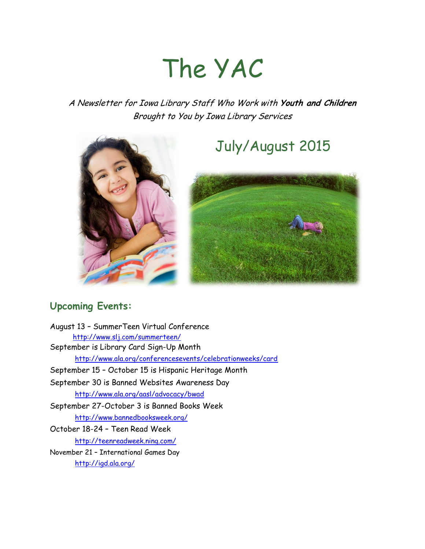# The YAC

A Newsletter for Iowa Library Staff Who Work with **Youth and Children** Brought to You by Iowa Library Services



## July/August 2015



### **Upcoming Events:**

August 13 – SummerTeen Virtual Conference <http://www.slj.com/summerteen/> September is Library Card Sign-Up Month <http://www.ala.org/conferencesevents/celebrationweeks/card> September 15 – October 15 is Hispanic Heritage Month September 30 is Banned Websites Awareness Day <http://www.ala.org/aasl/advocacy/bwad> September 27-October 3 is Banned Books Week <http://www.bannedbooksweek.org/> October 18-24 – Teen Read Week <http://teenreadweek.ning.com/> November 21 – International Games Day <http://igd.ala.org/>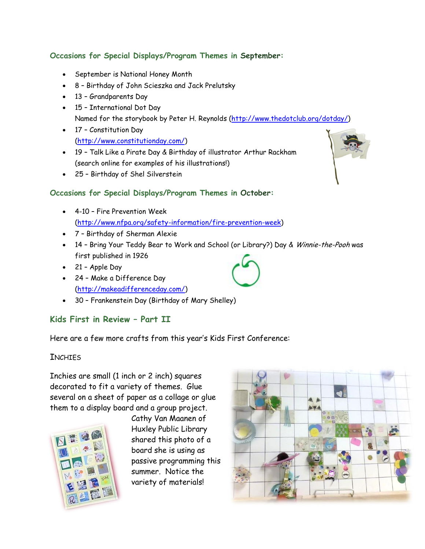#### **Occasions for Special Displays/Program Themes in September:**

- September is National Honey Month
- 8 Birthday of John Scieszka and Jack Prelutsky
- 13 Grandparents Day
- 15 International Dot Day Named for the storybook by Peter H. Reynolds [\(http://www.thedotclub.org/dotday/\)](http://www.thedotclub.org/dotday/)
- 17 Constitution Day [\(http://www.constitutionday.com/\)](http://www.constitutionday.com/)
- 19 Talk Like a Pirate Day & Birthday of illustrator Arthur Rackham (search online for examples of his illustrations!)
- 25 Birthday of Shel Silverstein

#### **Occasions for Special Displays/Program Themes in October:**

- 4-10 Fire Prevention Week [\(http://www.nfpa.org/safety-information/fire-prevention-week\)](http://www.nfpa.org/safety-information/fire-prevention-week)
- 7 Birthday of Sherman Alexie
- 14 Bring Your Teddy Bear to Work and School (or Library?) Day & Winnie-the-Pooh was first published in 1926
- $\bullet$  21 Apple Day
- 24 Make a Difference Day [\(http://makeadifferenceday.com/\)](http://makeadifferenceday.com/)
- 30 Frankenstein Day (Birthday of Mary Shelley)

#### **Kids First in Review – Part II**

Here are a few more crafts from this year's Kids First Conference:

#### **TNCHTES**

Inchies are small (1 inch or 2 inch) squares decorated to fit a variety of themes. Glue several on a sheet of paper as a collage or glue them to a display board and a group project.



Cathy Van Maanen of Huxley Public Library shared this photo of a board she is using as passive programming this summer. Notice the variety of materials!







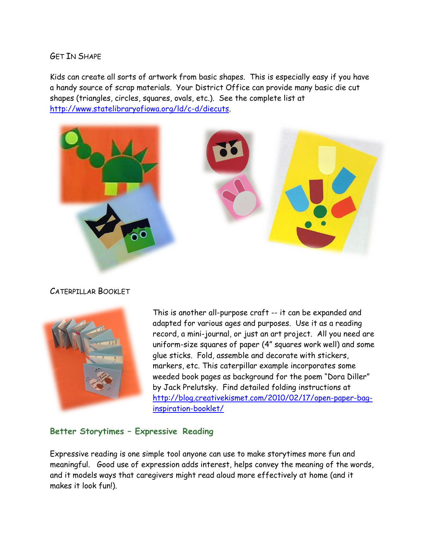GET IN SHAPE

Kids can create all sorts of artwork from basic shapes. This is especially easy if you have a handy source of scrap materials. Your District Office can provide many basic die cut shapes (triangles, circles, squares, ovals, etc.). See the complete list at [http://www.statelibraryofiowa.org/ld/c-d/diecuts.](http://www.statelibraryofiowa.org/ld/c-d/diecuts)



CATERPILLAR BOOKLET



This is another all-purpose craft -- it can be expanded and adapted for various ages and purposes. Use it as a reading record, a mini-journal, or just an art project. All you need are uniform-size squares of paper (4" squares work well) and some glue sticks. Fold, assemble and decorate with stickers, markers, etc. This caterpillar example incorporates some weeded book pages as background for the poem "Dora Diller" by Jack Prelutsky. Find detailed folding instructions at [http://blog.creativekismet.com/2010/02/17/open-paper-bag](http://blog.creativekismet.com/2010/02/17/open-paper-bag-inspiration-booklet/)[inspiration-booklet/](http://blog.creativekismet.com/2010/02/17/open-paper-bag-inspiration-booklet/)

#### **Better Storytimes – Expressive Reading**

Expressive reading is one simple tool anyone can use to make storytimes more fun and meaningful. Good use of expression adds interest, helps convey the meaning of the words, and it models ways that caregivers might read aloud more effectively at home (and it makes it look fun!).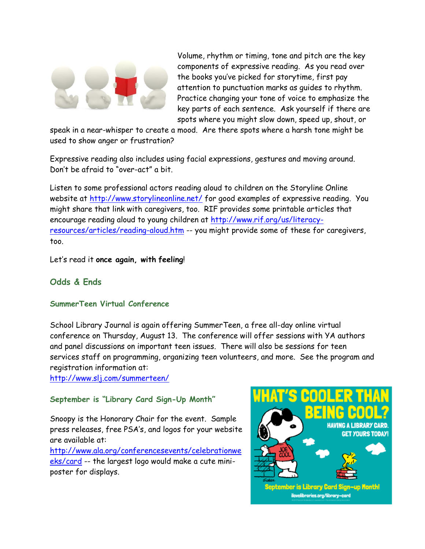

Volume, rhythm or timing, tone and pitch are the key components of expressive reading. As you read over the books you've picked for storytime, first pay attention to punctuation marks as guides to rhythm. Practice changing your tone of voice to emphasize the key parts of each sentence. Ask yourself if there are spots where you might slow down, speed up, shout, or

speak in a near-whisper to create a mood. Are there spots where a harsh tone might be used to show anger or frustration?

Expressive reading also includes using facial expressions, gestures and moving around. Don't be afraid to "over-act" a bit.

Listen to some professional actors reading aloud to children on the Storyline Online website at<http://www.storylineonline.net/> for good examples of expressive reading. You might share that link with caregivers, too. RIF provides some printable articles that encourage reading aloud to young children at [http://www.rif.org/us/literacy](http://www.rif.org/us/literacy-resources/articles/reading-aloud.htm)[resources/articles/reading-aloud.htm](http://www.rif.org/us/literacy-resources/articles/reading-aloud.htm) -- you might provide some of these for caregivers, too.

Let's read it **once again, with feeling**!

#### **Odds & Ends**

#### **SummerTeen Virtual Conference**

School Library Journal is again offering SummerTeen, a free all-day online virtual conference on Thursday, August 13. The conference will offer sessions with YA authors and panel discussions on important teen issues. There will also be sessions for teen services staff on programming, organizing teen volunteers, and more. See the program and registration information at:

<http://www.slj.com/summerteen/>

#### **September is "Library Card Sign-Up Month"**

Snoopy is the Honorary Chair for the event. Sample press releases, free PSA's, and logos for your website are available at:

[http://www.ala.org/conferencesevents/celebrationwe](http://www.ala.org/conferencesevents/celebrationweeks/card) [eks/card](http://www.ala.org/conferencesevents/celebrationweeks/card) -- the largest logo would make a cute miniposter for displays.